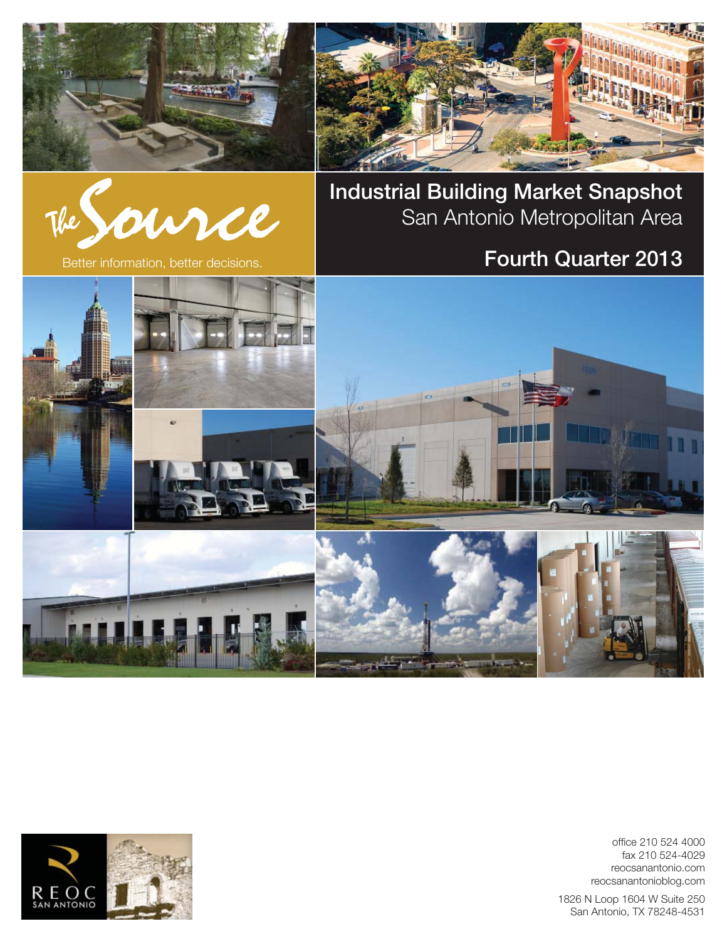





**Industrial Building Market Snapshot** San Antonio Metropolitan Area

# Better information, better decisions. **Fourth Quarter 2013**



office 210 524 4000 fax 210 524-4029 reocsanantonio.com reocsanantonioblog.com

1826 N Loop 1604 W Suite 250 San Antonio, TX 78248-4531

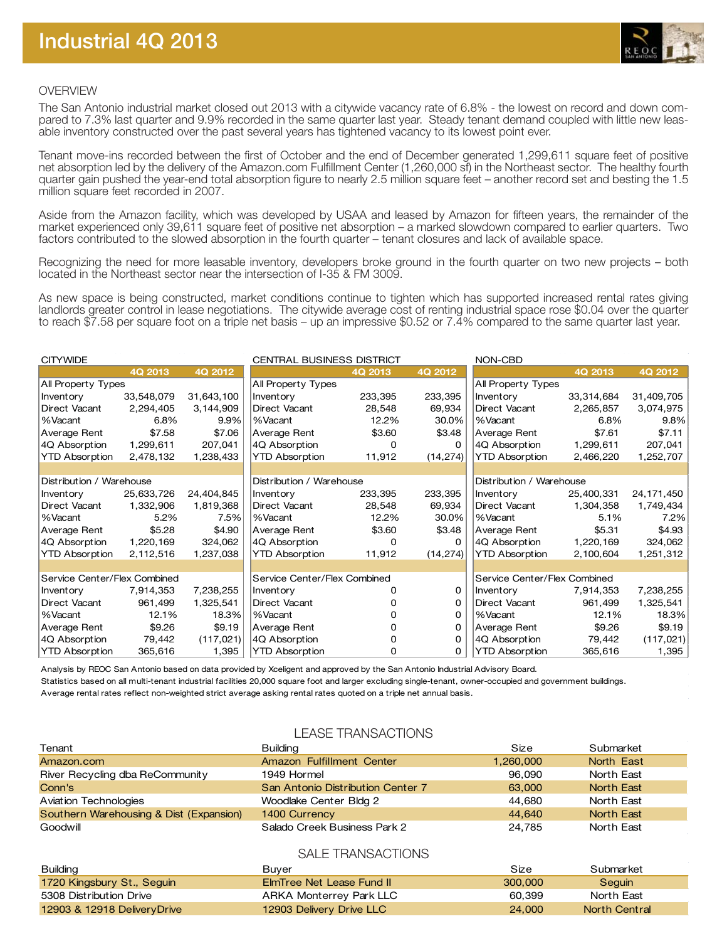

### OVERVIEW

The San Antonio industrial market closed out 2013 with a citywide vacancy rate of 6.8% - the lowest on record and down compared to 7.3% last quarter and 9.9% recorded in the same quarter last year. Steady tenant demand coupled with little new leasable inventory constructed over the past several years has tightened vacancy to its lowest point ever.

Tenant move-ins recorded between the first of October and the end of December generated 1,299,611 square feet of positive net absorption led by the delivery of the Amazon.com Fulfillment Center (1,260,000 sf) in the Northeast sector. The healthy fourth quarter gain pushed the year-end total absorption figure to nearly 2.5 million square feet – another record set and besting the 1.5 million square feet recorded in 2007.

Aside from the Amazon facility, which was developed by USAA and leased by Amazon for fifteen years, the remainder of the market experienced only 39,611 square feet of positive net absorption – a marked slowdown compared to earlier quarters. Two factors contributed to the slowed absorption in the fourth quarter – tenant closures and lack of available space.

Recognizing the need for more leasable inventory, developers broke ground in the fourth quarter on two new projects – both located in the Northeast sector near the intersection of I-35 & FM 3009.

As new space is being constructed, market conditions continue to tighten which has supported increased rental rates giving landlords greater control in lease negotiations. The citywide average cost of renting industrial space rose \$0.04 over the quarter to reach \$7.58 per square foot on a triple net basis – up an impressive \$0.52 or 7.4% compared to the same quarter last year.

| <b>CITYWIDE</b>              |            |            | <b>CENTRAL BUSINESS DISTRICT</b> |         | NON-CBD   |                              |            |            |
|------------------------------|------------|------------|----------------------------------|---------|-----------|------------------------------|------------|------------|
|                              | 4Q 2013    | 4Q 2012    |                                  | 4Q 2013 | 4Q 2012   |                              | 4Q 2013    | 4Q 2012    |
| All Property Types           |            |            | All Property Types               |         |           | All Property Types           |            |            |
| Inventory                    | 33,548,079 | 31,643,100 | Inventory                        | 233,395 | 233,395   | Inventory                    | 33,314,684 | 31,409,705 |
| Direct Vacant                | 2,294,405  | 3,144,909  | Direct Vacant                    | 28,548  | 69,934    | Direct Vacant                | 2,265,857  | 3,074,975  |
| %Vacant                      | 6.8%       | 9.9%       | %Vacant                          | 12.2%   | 30.0%     | %Vacant                      | 6.8%       | 9.8%       |
| Average Rent                 | \$7.58     | \$7.06     | Average Rent                     | \$3.60  | \$3.48    | Average Rent                 | \$7.61     | \$7.11     |
| 4Q Absorption                | 1,299,611  | 207,041    | 4Q Absorption                    | 0       | 0         | 4Q Absorption                | 1,299,611  | 207,041    |
| <b>YTD Absorption</b>        | 2,478,132  | 1,238,433  | <b>YTD Absorption</b>            | 11,912  | (14, 274) | <b>YTD Absorption</b>        | 2,466,220  | 1,252,707  |
|                              |            |            |                                  |         |           |                              |            |            |
| Distribution / Warehouse     |            |            | Distribution / Warehouse         |         |           | Distribution / Warehouse     |            |            |
| Inventory                    | 25,633,726 | 24,404,845 | Inventory                        | 233,395 | 233,395   | Inventory                    | 25,400,331 | 24,171,450 |
| Direct Vacant                | 1,332,906  | 1,819,368  | Direct Vacant                    | 28,548  | 69,934    | Direct Vacant                | 1,304,358  | 1,749,434  |
| %Vacant                      | 5.2%       | 7.5%       | %Vacant                          | 12.2%   | 30.0%     | %Vacant                      | 5.1%       | 7.2%       |
| Average Rent                 | \$5.28     | \$4.90     | Average Rent                     | \$3.60  | \$3.48    | Average Rent                 | \$5.31     | \$4.93     |
| 4Q Absorption                | 1,220,169  | 324,062    | 4Q Absorption                    | 0       | 0         | 4Q Absorption                | 1,220,169  | 324,062    |
| <b>YTD Absorption</b>        | 2,112,516  | 1,237,038  | <b>YTD Absorption</b>            | 11,912  | (14, 274) | <b>YTD Absorption</b>        | 2,100,604  | 1,251,312  |
|                              |            |            |                                  |         |           |                              |            |            |
| Service Center/Flex Combined |            |            | Service Center/Flex Combined     |         |           | Service Center/Flex Combined |            |            |
| Inventory                    | 7,914,353  | 7,238,255  | Inventory                        | 0       | 0         | Inventory                    | 7,914,353  | 7,238,255  |
| Direct Vacant                | 961,499    | 1,325,541  | Direct Vacant                    |         | $\Omega$  | Direct Vacant                | 961,499    | 1,325,541  |
| %Vacant                      | 12.1%      | 18.3%      | %Vacant                          |         | $\Omega$  | %Vacant                      | 12.1%      | 18.3%      |
| Average Rent                 | \$9.26     | \$9.19     | Average Rent                     |         | $\Omega$  | Average Rent                 | \$9.26     | \$9.19     |
| 4Q Absorption                | 79,442     | (117, 021) | 4Q Absorption                    | 0       | 0         | 4Q Absorption                | 79,442     | (117, 021) |
| <b>YTD Absorption</b>        | 365,616    | 1,395      | <b>YTD Absorption</b>            | 0       | 0         | <b>YTD Absorption</b>        | 365,616    | 1,395      |

Analysis by REOC San Antonio based on data provided by Xceligent and approved by the San Antonio Industrial Advisory Board. Statistics based on all multi-tenant industrial facilities 20,000 square foot and larger excluding single-tenant, owner-occupied and government buildings.

Average rental rates reflect non-weighted strict average asking rental rates quoted on a triple net annual basis.

# LEASE TRANSACTIONS

| Tenant                                  | Building                          | Size      | Submarket  |
|-----------------------------------------|-----------------------------------|-----------|------------|
| Amazon.com                              | Amazon Fulfillment Center         | 1.260.000 | North East |
| River Recycling dba ReCommunity         | 1949 Hormel                       | 96,090    | North East |
| Conn's                                  | San Antonio Distribution Center 7 | 63,000    | North East |
| Aviation Technologies                   | Woodlake Center Bldg 2            | 44,680    | North East |
| Southern Warehousing & Dist (Expansion) | 1400 Currency                     | 44.640    | North East |
| Goodwill                                | Salado Creek Business Park 2      | 24.785    | North East |
|                                         | $\bigcap A \cup \square$          |           |            |

## SALE TRANSACTIONS

| Building                                | Buver                     | Size    | Submarket     |
|-----------------------------------------|---------------------------|---------|---------------|
| 1720 Kingsbury St., Seguin              | ElmTree Net Lease Fund II | 300,000 | Sequin        |
| 5308 Distribution Drive                 | ARKA Monterrey Park LLC   | 60.399  | North East    |
| <b>12903 &amp; 12918 Delivery Drive</b> | 12903 Delivery Drive LLC  | 24,000  | North Central |